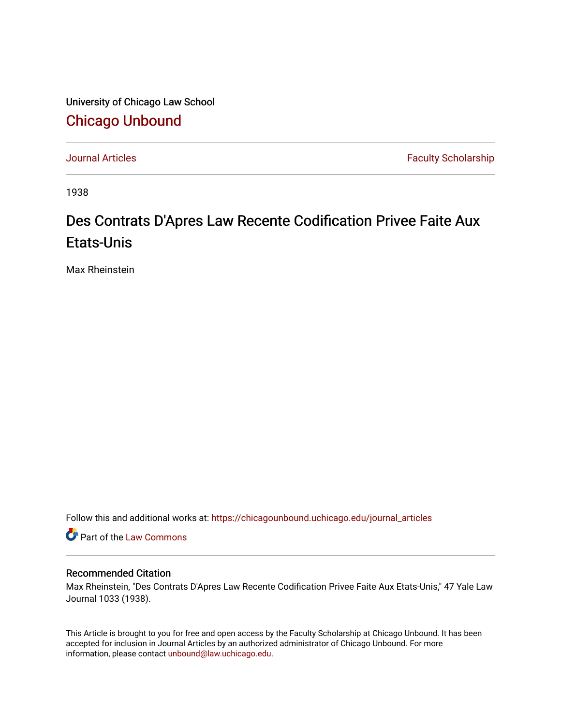University of Chicago Law School [Chicago Unbound](https://chicagounbound.uchicago.edu/)

[Journal Articles](https://chicagounbound.uchicago.edu/journal_articles) **Faculty Scholarship Faculty Scholarship** 

1938

## Des Contrats D'Apres Law Recente Codification Privee Faite Aux Etats-Unis

Max Rheinstein

Follow this and additional works at: [https://chicagounbound.uchicago.edu/journal\\_articles](https://chicagounbound.uchicago.edu/journal_articles?utm_source=chicagounbound.uchicago.edu%2Fjournal_articles%2F8900&utm_medium=PDF&utm_campaign=PDFCoverPages) 

Part of the [Law Commons](http://network.bepress.com/hgg/discipline/578?utm_source=chicagounbound.uchicago.edu%2Fjournal_articles%2F8900&utm_medium=PDF&utm_campaign=PDFCoverPages)

## Recommended Citation

Max Rheinstein, "Des Contrats D'Apres Law Recente Codification Privee Faite Aux Etats-Unis," 47 Yale Law Journal 1033 (1938).

This Article is brought to you for free and open access by the Faculty Scholarship at Chicago Unbound. It has been accepted for inclusion in Journal Articles by an authorized administrator of Chicago Unbound. For more information, please contact [unbound@law.uchicago.edu](mailto:unbound@law.uchicago.edu).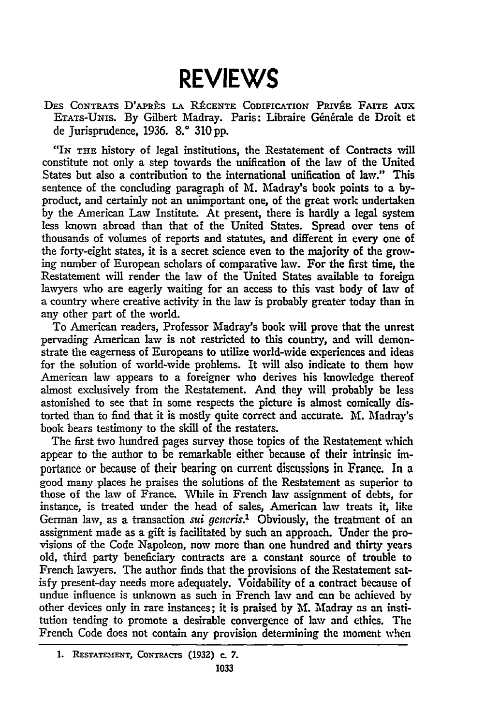## **REVIEWS**

DES CONTRATS D'APRÈS LA RÉCENTE CODIFICATION PRIVÉE FAITE AUX ETATS-UNIS. By Gilbert Madray. Paris: Libraire Générale de Droit et de Jurisprudence, 1936. 8.° 310 pp.

"In THE history of legal institutions, the Restatement of Contracts will constitute not only a step towards the unification of the law of the United States but also a contribution to the international unification of law." This sentence of the concluding paragraph of M. Madray's book points to a byproduct, and certainly not an unimportant one, of the great work undertaken by the American Law Institute. At present, there is hardly a legal system less known abroad than that of the United States. Spread over tens of thousands of volumes of reports and statutes, and different in every one of the forty-eight states, it is a secret science even to the majority of the growing number of European scholars of comparative law. For the first time, the Restatement will render the law of the United States available to foreign lawyers who are eagerly waiting for an access to this vast body of law of a country where creative activity in the law is probably greater today than in any other part of the world.

To American readers, Professor Madray's book will prove that the unrest pervading American law is not restricted to this country, and will demonstrate the eagerness of Europeans to utilize world-wide experiences and ideas for the solution of world-wide problems. It will also indicate to them how American law appears to a foreigner who derives his knowledge thereof almost exclusively from the Restatement. And they will probably be less astonished to see that in some respects the picture is almost comically distorted than to find that it is mostly quite correct and accurate. M. Madray's book bears testimony to the skill of the restaters.

The first two hundred pages survey those topics of the Restatement which appear to the author to be remarkable either because of their intrinsic importance or because of their bearing on current discussions in France. In a good many places he praises the solutions of the Restatement as superior to those of the law of France. While in French law assignment of debts, for instance, is treated under the head of sales, American law treats it, like German law, as a transaction *sui generis*.<sup>1</sup> Obviously, the treatment of an assignment made as a gift is facilitated by such an approach. Under the provisions of the Code Napoleon, now more than one hundred and thirty years old, third party beneficiary contracts are a constant source of trouble to French lawyers. The author finds that the provisions of the Restatement satisfy present-day needs more adequately. Voidability of a contract because of undue influence is unknown as such in French law and can be achieved **by** other devices only in rare instances; it is praised by M. Madray as an institution tending to promote a desirable convergence of law and ethics. The French Code does not contain any provision determining the moment when

<sup>1.</sup> RESTATEMENT, CONTRACTS (1932) **c. 7.**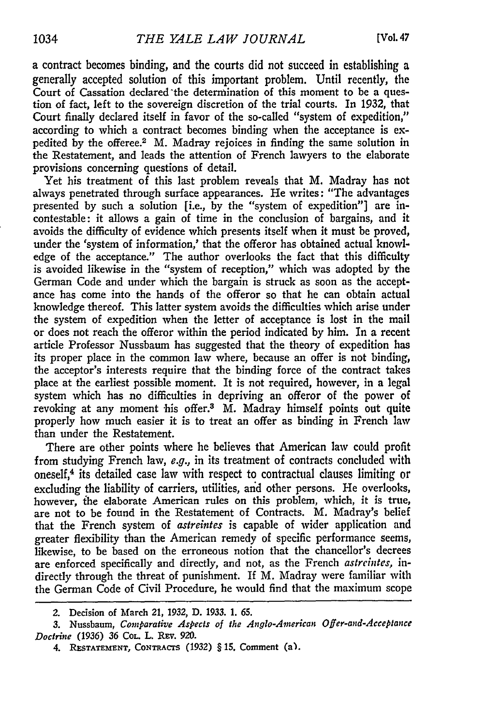a contract becomes binding, and the courts did not succeed in establishing a generally accepted solution of this important problem. Until recently, the Court of Cassation declared the determination of this moment to be a question of fact, left to the sovereign discretion of the trial courts. In 1932, that Court finally declared itself in favor of the so-called "system of expedition," according to which a contract becomes binding when the acceptance is expedited by the offeree.2 M. Madray rejoices in finding the same solution in the Restatement, and leads the attention of French lawyers to the elaborate provisions concerning questions of detail.

Yet his treatment of this last problem reveals that M. Madray has not always penetrated through surface appearances. He writes: "The advantages presented by such a solution [i.e., by the "system of expedition"] are incontestable: it allows a gain of time in the conclusion of bargains, and it avoids the difficulty of evidence which presents itself when it must be proved, under the 'system of information,' that the offeror has obtained actual knowledge of the acceptance." The author overlooks the fact that this difficulty is avoided likewise in the "system of reception," which was adopted by the German Code and under which the bargain is struck as soon as the acceptance has come into the hands of the offeror so that he can obtain actual knowledge thereof. This latter system avoids the difficulties which arise under the system of expedition when the letter of acceptance is lost in the mail or does not reach the offeror within the period indicated by him. In a recent article Professor Nussbaum has suggested that the theory of expedition has its proper place in the common law where, because an offer is not binding, the acceptor's interests require that the binding force of the contract takes place at the earliest possible moment. It is not required, however, in a legal system which has no difficulties in depriving an offeror of the power of revoking at any moment his offer.<sup>3</sup> M. Madray himself points out quite properly how much easier it is to treat an offer as binding in French law than under the Restatement.

There are other points where he believes that American law could profit from studying French law, e.g., in its treatment of contracts concluded with oneself,4 its detailed case law with respect to contractual clauses limiting or excluding the liability of carriers, utilities, arid other persons. He overlooks, however, the elaborate American rules on this problem, which, it is true, are not to be found in the Restatement of Contracts. M. Madray's belief that the French system of *astreintes* is capable of wider application and greater flexibility than the American remedy of specific performance seems, likewise, to be based on the erroneous notion that the chancellor's decrees are enforced specifically and directly, and not, as the French *astreintes,* indirectly through the threat of punishment. If M. Madray were familiar with the German Code of Civil Procedure, he would find that the maximum scope

<sup>2.</sup> Decision of March 21, *1932,* D. 1933. 1. *65.*

<sup>3.</sup> Nussbaum, *Comparative Aspects of the Anglo-American Offer-and-Acceptance Doctrine* (1936) *36* CoL L. REV. 920.

<sup>4.</sup> **RESTATEMENT, CONTRACrS** (1932) § 15. Comment (a').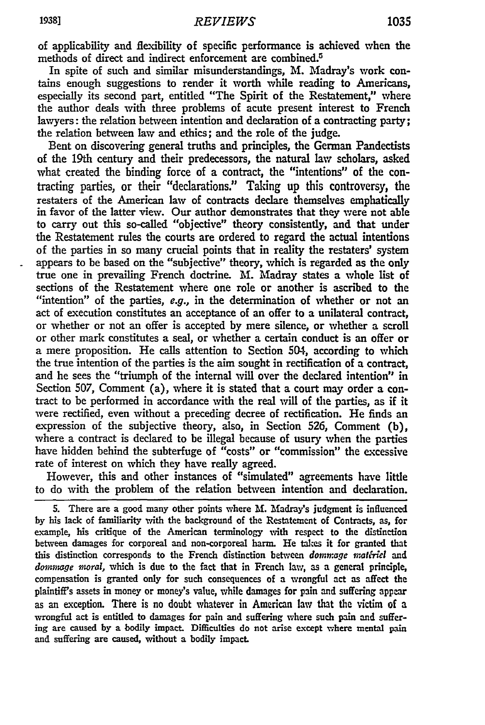of applicability and flexibility of specific performance is achieved when the methods of direct and indirect enforcement are combined.<sup>5</sup>

In spite of such and similar misunderstandings, M. Madray's work contains enough suggestions to render it worth while reading to Americans, especially its second part, entitled "The Spirit of the Restatement," where the author deals with three problems of acute present interest to French lawyers: the relation between intention and declaration of a contracting party; the relation between law and ethics; and the role of the judge.

Bent on discovering general truths and principles, the German Pandectists of the 19th century and their predecessors, the natural law scholars, asked what created the binding force **of** a contract, the "intentions" of the contracting parties, or their "declarations." Taking up this controversy, the restaters of the American law of contracts declare themselves emphatically in favor of the latter view. Our author demonstrates that they vere not able to carry out this so-called "objective" theory consistently, and that under the Restatement rules the courts are ordered to regard the actual intentions of the parties in so many crucial points that in reality the restaters' system appears to be based on the "subjective" theory, which is regarded as the only true one in prevailing French doctrine. M. Madray states a whole list of sections of the Restatement where one role or another is ascribed to the "intention" of the parties,  $e.g.,$  in the determination of whether or not an act of execution constitutes an acceptance of an offer to a unilateral contract, or whether or not an offer is accepted **by** mere silence, or whether a scroll or other mark constitutes a seal, or whether a certain conduct is an offer or a mere proposition. He calls attention to Section 504, according to which the true intention of the parties is the aim sought in rectification of a contract, and he sees the "triumph of the internal will over the declared intention" in Section **507,** Comment (a), where it is stated that a court may order a contract to be performed in accordance with the real will of the parties, as if it were rectified, even without a preceding decree of rectification. He finds an expression of the subjective theory, also, in Section **526,** Comment **(b),** where a contract is declared to be illegal because of usury when the parties have hidden behind the subterfuge of "costs" or "commission" the excessive rate of interest on which they have really agreed.

However, this and other instances of "simulated" agreements have little to do with the problem of the relation between intention and declaration.

**5.** There are a good many other points where **U.** Madray's judgment is influenced **by** his lack of familiarity with the background of the Restatement of Contracts, as, for example, his critique of the American terminology with respect to the distinction between damages for corporeal and non-corporeal harm. He takes it for granted that this distinction corresponds to the French distinction between *dommage malfriel* and *dommage moral,* which is due to the fact that in French law, as a general principle, compensation is granted only for such consequences of a wrongful act as affect the plaintiff's assets in money or money's value, while damages for pain and suffering appear as an exception. There is no doubt whatever in American law that the victim of a wrongful act is entitled to damages for pain and suffering where such pain and suffering are caused **by** a bodily impact Difficulties do not arise except where mental pain and suffering are caused, without a bodily impact.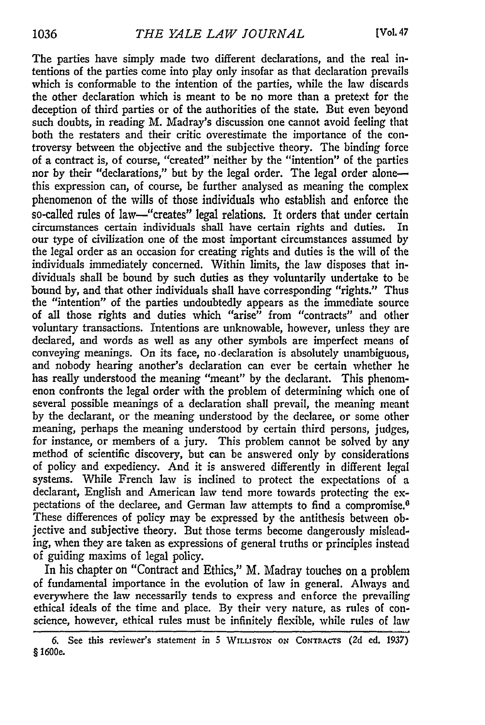The parties have simply made two different declarations, and the real intentions of the parties come into play only insofar as that declaration prevails which is conformable to the intention of the parties, while the law discards the other declaration which is meant to be no more than a pretext for the deception of third parties or of the authorities of the state. But even beyond such doubts, in reading M. Madray's discussion one cannot avoid feeling that both the restaters and their critic overestimate the importance of the controversy between the objective and the subjective theory. The binding force of a contract is, of course, "created" neither by the "intention" of the parties nor by their "declarations," but by the legal order. The legal order alonethis expression can, of course, be further analysed as meaning the complex phenomenon of the wills of those individuals who establish and enforce the so-called rules of law-"creates" legal relations. It orders that under certain circumstances certain individuals shall have certain rights and duties. In our type of civilization one of the most important circumstances assumed by the legal order as an occasion for creating rights and duties is the will of the individuals immediately concerned. Within limits, the law disposes that individuals shall be bound by such duties as they voluntarily undertake to be bound by, and that other individuals shall have corresponding "rights." Thus the "intention" of the parties undoubtedly appears as the immediate source of all those rights and duties which "arise" from "contracts" and other voluntary transactions. Intentions are unknowable, however, unless they are declared, and words as well as any other symbols are imperfect means of conveying meanings. On its face, no .declaration is absolutely unambiguous, and nobody hearing another's declaration can ever be certain whether he has really understood the meaning "meant" by the declarant. This phenomenon confronts the legal order with the problem of determining which one of several possible meanings of a declaration shall prevail, the meaning meant by the declarant, or the meaning understood by the declaree, or some other meaning, perhaps the meaning understood by certain third persons, judges, for instance, or members of a jury. This problem cannot be solved by any method of scientific discovery, but can be answered only by considerations of policy and expediency. And it is answered differently in different legal systems. While French law is inclined to protect the expectations of a declarant, English and American law tend more towards protecting the expectations of the declaree, and German law attempts to find a compromise.<sup>0</sup> These differences of policy may be expressed by the antithesis between objective and subjective theory. But those terms become dangerously misleading, when they are taken as expressions of general truths or principles instead of guiding maxims of legal policy.

In his chapter on "Contract and Ethics," M. Madray touches on a problem of fundamental importance in the evolution of law in general. Always and everywhere the law necessarily tends to express and enforce the prevailing ethical ideals of the time and place. **By** their very nature, as rules of conscience, however, ethical rules must be infinitely flexible, while rules of law

**<sup>6.</sup>** See this reviewer's statement in 5 WILLISTON **ON** CONTRACTS **(2d ed. 1937)** §1600e.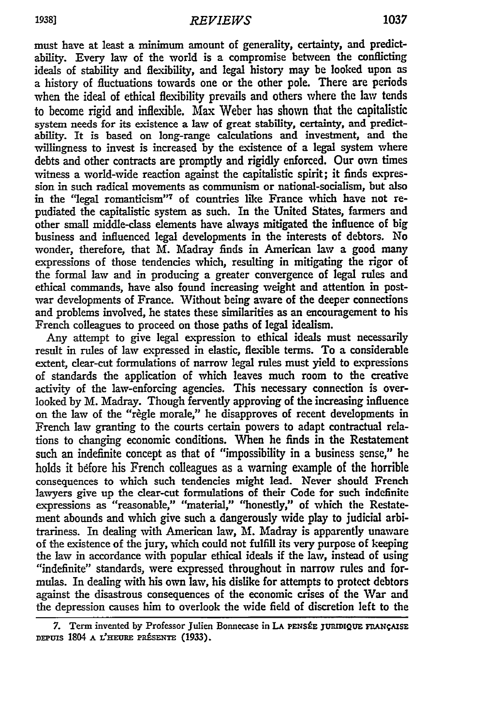must have at least a minimum amount of generality, certainty, and predictability. Every law of the world is a compromise between the conflicting ideals of stability and flexibility, and legal history may be looked upon as a history of fluctuations towards one or the other pole. There are periods when the ideal of ethical flexibility prevails and others where the law tends to become rigid and inflexible. Max Weber has shown that the capitalistic system needs for its existence a law of great stability, certainty, and predictability. It is based on long-range calculations and investment, and the willingness to invest is increased **by** the existence of a legal system where debts and other contracts are promptly and rigidly enforced. Our own times witness a world-wide reaction against the capitalistic spirit; it finds expression in such radical movements as communism or national-socialism, but also in the "legal romanticism"7 of countries like France which have not repudiated the capitalistic system as such. In the United States, farmers and other small middle-class elements have always mitigated the influence of big business and influenced legal developments in the interests of debtors. No wonder, therefore, that M. Madray finds in American law a good many expressions of those tendencies which, resulting in mitigating the rigor of the formal law and in producing a greater convergence of legal rules and ethical commands, have also found increasing weight and attention in postwar developments of France. Without being aware of the deeper connections and problems involved, he states these similarities as an encouragement to his French colleagues to proceed on those paths of legal idealism.

Any attempt to give legal expression to ethical ideals must necessarily result in rules of law expressed in elastic, flexible terms. To a considerable extent, clear-cut formulations of narrow legal rules must yield to expressions of standards the application of which leaves much room to the creative activity of the law-enforcing agencies. This necessary connection is overlooked by M. Madray. Though fervently approving of the increasing influence on the law of the "règle morale," he disapproves of recent developments in French law granting to the courts certain powers to adapt contractual relations to changing economic conditions. When he finds in the Restatement such an indefinite concept as that of "impossibility in a business sense," he holds it before his French colleagues as a warning example of the horrible consequences to which such tendencies might lead. Never should French lawyers give up the dear-cut formulations of their Code for such indefinite expressions as "reasonable," "material," "honestly," of which the Restatement abounds and which give such a dangerously wide play to judicial arbitrariness. In dealing with American law, M. Madray is apparently unaware of the existence of the jury, which could not fulfill its very purpose of keeping the law in accordance with popular ethical ideals if the law, instead of using "indefinite" standards, were expressed throughout in narrow rules and formulas. In dealing with his own law, his dislike for attempts to protect debtors against the disastrous consequences of the economic crises of the War and the depression causes him to overlook the wide field of discretion left to the

<sup>7.</sup> Term invented by Professor Julien Bonnecase in La PENSÉE JURIDIQUE FRANÇAISE **DEPUIS 1804 A L'HEURE PRÉSENTE (1933).**